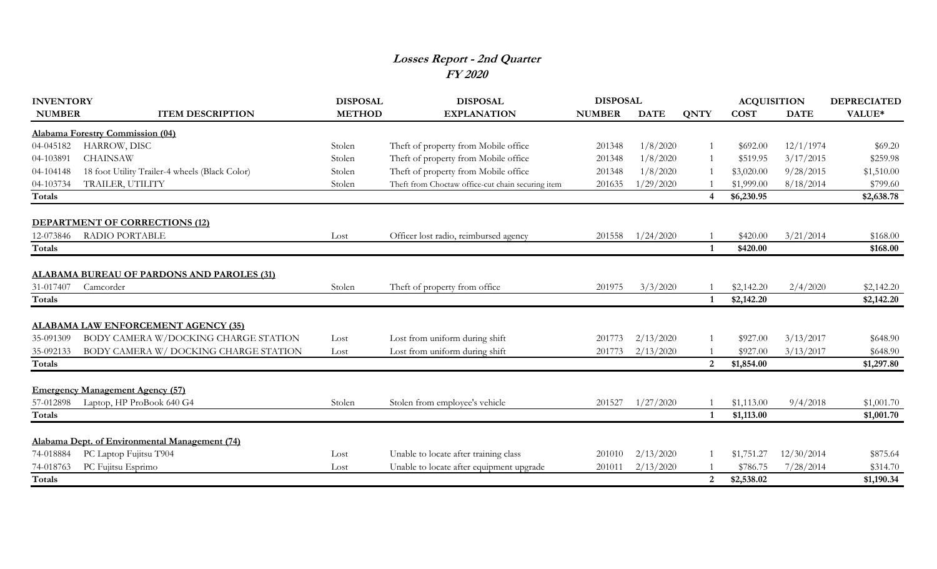## **Losses Report - 2nd Quarter FY 2020**

| <b>INVENTORY</b> |                                                   | <b>DISPOSAL</b> | <b>DISPOSAL</b>                                   | <b>DISPOSAL</b> |             |                | <b>ACQUISITION</b> |             | <b>DEPRECIATED</b> |
|------------------|---------------------------------------------------|-----------------|---------------------------------------------------|-----------------|-------------|----------------|--------------------|-------------|--------------------|
| <b>NUMBER</b>    | <b>ITEM DESCRIPTION</b>                           | <b>METHOD</b>   | <b>EXPLANATION</b>                                | <b>NUMBER</b>   | <b>DATE</b> | <b>QNTY</b>    | <b>COST</b>        | <b>DATE</b> | VALUE*             |
|                  | <b>Alabama Forestry Commission (04)</b>           |                 |                                                   |                 |             |                |                    |             |                    |
| 04-045182        | HARROW, DISC                                      | Stolen          | Theft of property from Mobile office              | 201348          | 1/8/2020    |                | \$692.00           | 12/1/1974   | \$69.20            |
| 04-103891        | <b>CHAINSAW</b>                                   | Stolen          | Theft of property from Mobile office              | 201348          | 1/8/2020    |                | \$519.95           | 3/17/2015   | \$259.98           |
| 04-104148        | 18 foot Utility Trailer-4 wheels (Black Color)    | Stolen          | Theft of property from Mobile office              | 201348          | 1/8/2020    |                | \$3,020.00         | 9/28/2015   | \$1,510.00         |
| 04-103734        | TRAILER, UTILITY                                  | Stolen          | Theft from Choctaw office-cut chain securing item | 201635          | 1/29/2020   |                | \$1,999.00         | 8/18/2014   | \$799.60           |
| Totals           |                                                   |                 |                                                   |                 |             |                | \$6,230.95         |             | \$2,638.78         |
|                  | <b>DEPARTMENT OF CORRECTIONS (12)</b>             |                 |                                                   |                 |             |                |                    |             |                    |
| 12-073846        | <b>RADIO PORTABLE</b>                             | Lost            | Officer lost radio, reimbursed agency             | 201558          | 1/24/2020   |                | \$420.00           | 3/21/2014   | \$168.00           |
| Totals           |                                                   |                 |                                                   |                 |             | $\mathbf{1}$   | \$420.00           |             | \$168.00           |
|                  | <b>ALABAMA BUREAU OF PARDONS AND PAROLES (31)</b> |                 |                                                   |                 |             |                |                    |             |                    |
| 31-017407        | Camcorder                                         | Stolen          | Theft of property from office                     | 201975          | 3/3/2020    |                | \$2,142.20         | 2/4/2020    | \$2,142.20         |
| Totals           |                                                   |                 |                                                   |                 |             | $\mathbf{1}$   | \$2,142.20         |             | \$2,142.20         |
|                  | <b>ALABAMA LAW ENFORCEMENT AGENCY (35)</b>        |                 |                                                   |                 |             |                |                    |             |                    |
| 35-091309        | BODY CAMERA W/DOCKING CHARGE STATION              | Lost            | Lost from uniform during shift                    | 201773          | 2/13/2020   |                | \$927.00           | 3/13/2017   | \$648.90           |
| 35-092133        | BODY CAMERA W/DOCKING CHARGE STATION              | Lost            | Lost from uniform during shift                    | 201773          | 2/13/2020   |                | \$927.00           | 3/13/2017   | \$648.90           |
| Totals           |                                                   |                 |                                                   |                 |             | 2              | \$1,854.00         |             | \$1,297.80         |
|                  | <b>Emergency Management Agency (57)</b>           |                 |                                                   |                 |             |                |                    |             |                    |
| 57-012898        | Laptop, HP ProBook 640 G4                         | Stolen          | Stolen from employee's vehicle                    | 201527          | 1/27/2020   |                | \$1,113.00         | 9/4/2018    | \$1,001.70         |
| Totals           |                                                   |                 |                                                   |                 |             | $\mathbf{1}$   | \$1,113.00         |             | \$1,001.70         |
|                  | Alabama Dept. of Environmental Management (74)    |                 |                                                   |                 |             |                |                    |             |                    |
| 74-018884        | PC Laptop Fujitsu T904                            | Lost            | Unable to locate after training class             | 201010          | 2/13/2020   |                | \$1,751.27         | 12/30/2014  | \$875.64           |
| 74-018763        | PC Fujitsu Esprimo                                | Lost            | Unable to locate after equipment upgrade          | 201011          | 2/13/2020   |                | \$786.75           | 7/28/2014   | \$314.70           |
| Totals           |                                                   |                 |                                                   |                 |             | $\overline{2}$ | \$2,538.02         |             | \$1,190.34         |